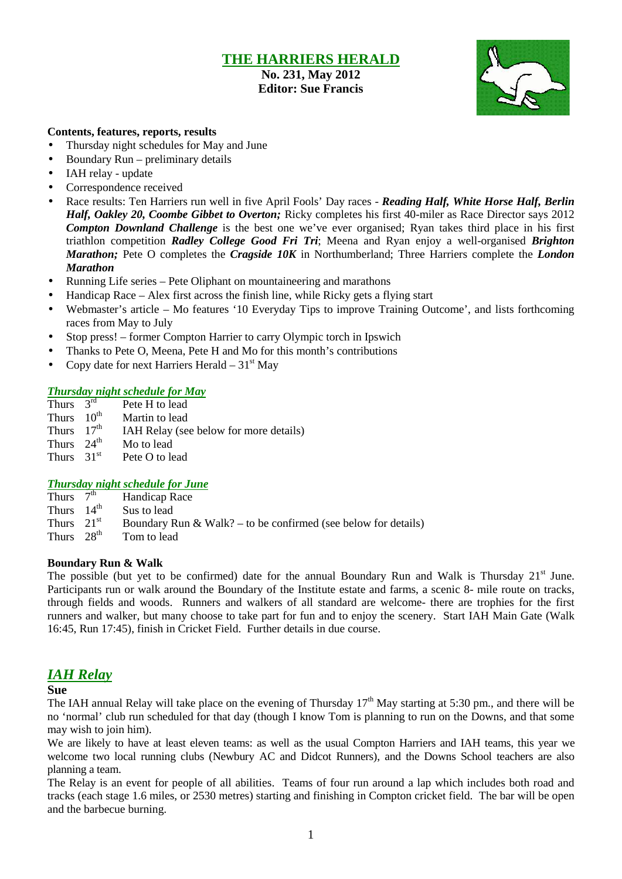## **THE HARRIERS HERALD**

**No. 231, May 2012 Editor: Sue Francis**



#### **Contents, features, reports, results**

- Thursday night schedules for May and June
- Boundary Run preliminary details
- IAH relay update
- Correspondence received
- Race results: Ten Harriers run well in five April Fools' Day races - *Reading Half, White Horse Half, Berlin Half, Oakley 20, Coombe Gibbet to Overton;* Ricky completes his first 40-miler as Race Director says 2012 *Compton Downland Challenge* is the best one we've ever organised; Ryan takes third place in his first triathlon competition *Radley College Good Fri Tri*; Meena and Ryan enjoy a well-organised *Brighton Marathon;* Pete O completes the *Cragside 10K* in Northumberland; Three Harriers complete the *London Marathon*
- Running Life series Pete Oliphant on mountaineering and marathons
- $\bullet$  Handicap Race Alex first across the finish line, while Ricky gets a flying start
- Webmaster's article Mo features '10 Everyday Tips to improve Training Outcome', and lists forthcoming races from May to July
- Stop press! former Compton Harrier to carry Olympic torch in Ipswich
- Thanks to Pete O, Meena, Pete H and Mo for this month's contributions
- Copy date for next Harriers Herald  $-31<sup>st</sup>$  May

#### *Thursday night schedule for May*

| Thurs $3rd$<br>Pete H to lead                          |  |
|--------------------------------------------------------|--|
| Thurs $10^{\text{th}}$<br>Martin to lead               |  |
| Thurs $17th$<br>IAH Relay (see below for more details) |  |
| Thurs $24^{\text{th}}$<br>Mo to lead                   |  |
| Thurs $31st$<br>Pete O to lead                         |  |

#### *Thursday night schedule for June*

- Thurs  $7<sup>th</sup>$ Handicap Race
- Thurs  $14^{th}$ <br>Thurs  $21^{st}$ Sus to lead
- Boundary Run & Walk? to be confirmed (see below for details)
- Thurs  $28<sup>th</sup>$  Tom to lead

#### **Boundary Run & Walk**

The possible (but yet to be confirmed) date for the annual Boundary Run and Walk is Thursday  $21<sup>st</sup>$  June. Participants run or walk around the Boundary of the Institute estate and farms, a scenic 8- mile route on tracks, through fields and woods. Runners and walkers of all standard are welcome- there are trophies for the first runners and walker, but many choose to take part for fun and to enjoy the scenery. Start IAH Main Gate (Walk 16:45, Run 17:45), finish in Cricket Field. Further details in due course.

## *IAH Relay*

#### **Sue**

The IAH annual Relay will take place on the evening of Thursday  $17<sup>th</sup>$  May starting at 5:30 pm., and there will be no 'normal' club run scheduled for that day (though I know Tom is planning to run on the Downs, and that some may wish to join him).

We are likely to have at least eleven teams: as well as the usual Compton Harriers and IAH teams, this year we welcome two local running clubs (Newbury AC and Didcot Runners), and the Downs School teachers are also planning a team.

The Relay is an event for people of all abilities. Teams of four run around a lap which includes both road and tracks (each stage 1.6 miles, or 2530 metres) starting and finishing in Compton cricket field. The bar will be open and the barbecue burning.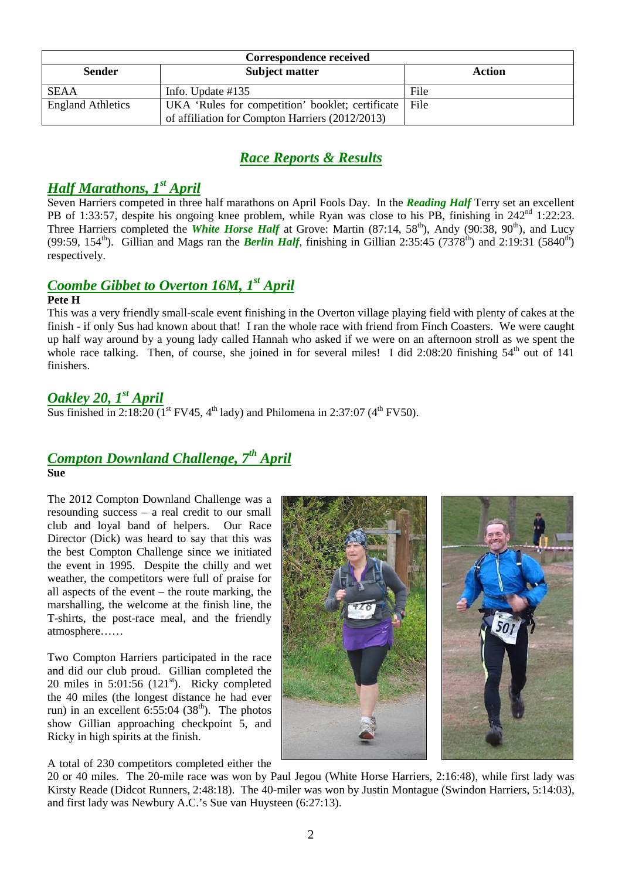| Correspondence received  |                                                                                                          |        |  |  |  |  |  |
|--------------------------|----------------------------------------------------------------------------------------------------------|--------|--|--|--|--|--|
| <b>Sender</b>            | <b>Subject matter</b>                                                                                    | Action |  |  |  |  |  |
| SEAA                     | Info. Update $\#135$                                                                                     | File   |  |  |  |  |  |
| <b>England Athletics</b> | UKA 'Rules for competition' booklet; certificate File<br>of affiliation for Compton Harriers (2012/2013) |        |  |  |  |  |  |

## *Race Reports & Results*

# *Half Marathons, 1 st April*

Seven Harriers competed in three half marathons on April Fools Day. In the *Reading Half* Terry set an excellent PB of 1:33:57, despite his ongoing knee problem, while Ryan was close to his PB, finishing in 242<sup>nd</sup> 1:22:23. Three Harriers completed the *White Horse Half* at Grove: Martin (87:14, 58<sup>th</sup>), Andy (90:38, 90<sup>th</sup>), and Lucy (99:59, 154<sup>th</sup>). Gillian and Mags ran the *Berlin Half*, finishing in Gillian 2:35:45 (7378<sup>th</sup>) and 2:19:31 (5840<sup>th</sup>) respectively.

# *Coombe Gibbet to Overton 16M, 1st April*

#### **Pete H**

This was a very friendly small-scale event finishing in the Overton village playing field with plenty of cakes at the finish - if only Sus had known about that! I ran the whole race with friend from Finch Coasters. We were caught up half way around by a young lady called Hannah who asked if we were on an afternoon stroll as we spent the whole race talking. Then, of course, she joined in for several miles! I did 2:08:20 finishing  $54<sup>th</sup>$  out of 141 finishers.

# *Oakley 20, 1 st April*

Sus finished in 2:18:20  $(1^{st}$  FV45, 4<sup>th</sup> lady) and Philomena in 2:37:07 (4<sup>th</sup> FV50).

### *Compton Downland Challenge, 7th April* **Sue**

The 2012 Compton Downland Challenge was a resounding success – a real credit to our small club and loyal band of helpers. Our Race Director (Dick) was heard to say that this was the best Compton Challenge since we initiated the event in 1995. Despite the chilly and wet weather, the competitors were full of praise for all aspects of the event – the route marking, the marshalling, the welcome at the finish line, the T-shirts, the post-race meal, and the friendly atmosphere……

Two Compton Harriers participated in the race and did our club proud. Gillian completed the 20 miles in  $5:01:56$  (121st). Ricky completed the 40 miles (the longest distance he had ever run) in an excellent  $6:55:04$  (38<sup>th</sup>). The photos show Gillian approaching checkpoint 5, and Ricky in high spirits at the finish.

A total of 230 competitors completed either the



20 or 40 miles. The 20-mile race was won by Paul Jegou (White Horse Harriers, 2:16:48), while first lady was Kirsty Reade (Didcot Runners, 2:48:18). The 40-miler was won by Justin Montague (Swindon Harriers, 5:14:03), and first lady was Newbury A.C.'s Sue van Huysteen (6:27:13).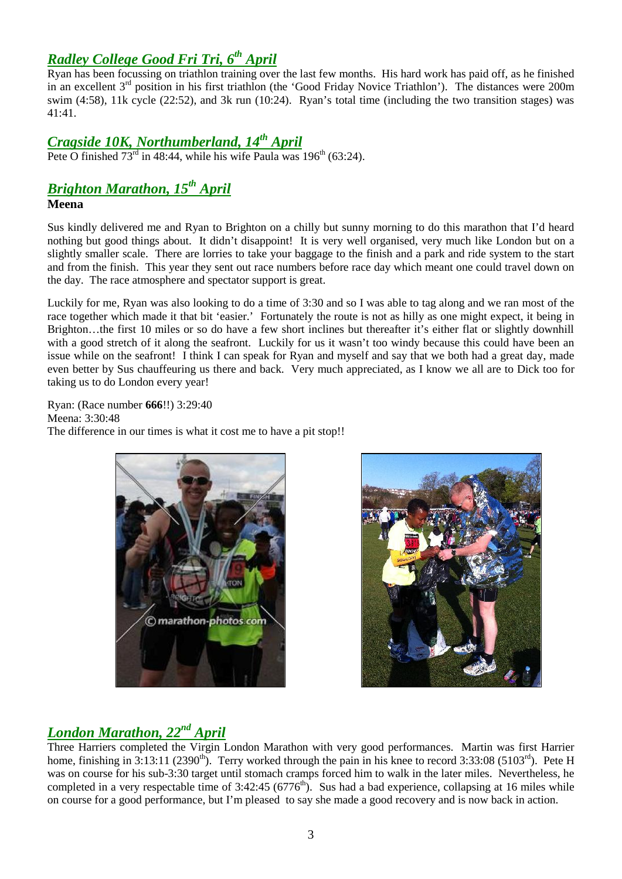# *Radley College Good Fri Tri, 6th April*

Ryan has been focussing on triathlon training over the last few months. His hard work has paid off, as he finished in an excellent 3<sup>rd</sup> position in his first triathlon (the 'Good Friday Novice Triathlon'). The distances were 200m swim (4:58), 11k cycle (22:52), and 3k run (10:24). Ryan's total time (including the two transition stages) was 41:41.

# *Cragside 10K, Northumberland, 14th April*

Pete O finished  $73<sup>rd</sup>$  in 48:44, while his wife Paula was  $196<sup>th</sup>$  (63:24).

## *Brighton Marathon, 15th April*

### **Meena**

Sus kindly delivered me and Ryan to Brighton on a chilly but sunny morning to do this marathon that I'd heard nothing but good things about. It didn't disappoint! It is very well organised, very much like London but on a slightly smaller scale. There are lorries to take your baggage to the finish and a park and ride system to the start and from the finish. This year they sent out race numbers before race day which meant one could travel down on the day. The race atmosphere and spectator support is great.

Luckily for me, Ryan was also looking to do a time of 3:30 and so I was able to tag along and we ran most of the race together which made it that bit 'easier.' Fortunately the route is not as hilly as one might expect, it being in Brighton…the first 10 miles or so do have a few short inclines but thereafter it's either flat or slightly downhill with a good stretch of it along the seafront. Luckily for us it wasn't too windy because this could have been an issue while on the seafront! I think I can speak for Ryan and myself and say that we both had a great day, made even better by Sus chauffeuring us there and back. Very much appreciated, as I know we all are to Dick too for taking us to do London every year!

Ryan: (Race number **666**!!) 3:29:40 Meena: 3:30:48 The difference in our times is what it cost me to have a pit stop!!





# *London Marathon, 22nd April*

Three Harriers completed the Virgin London Marathon with very good performances. Martin was first Harrier home, finishing in  $3:13:11$  (2390<sup>th</sup>). Terry worked through the pain in his knee to record  $3:33:08$  (5103<sup>rd</sup>). Pete H was on course for his sub-3:30 target until stomach cramps forced him to walk in the later miles. Nevertheless, he completed in a very respectable time of  $3:42:45$  ( $6776<sup>th</sup>$ ). Sus had a bad experience, collapsing at 16 miles while on course for a good performance, but I'm pleased to say she made a good recovery and is now back in action.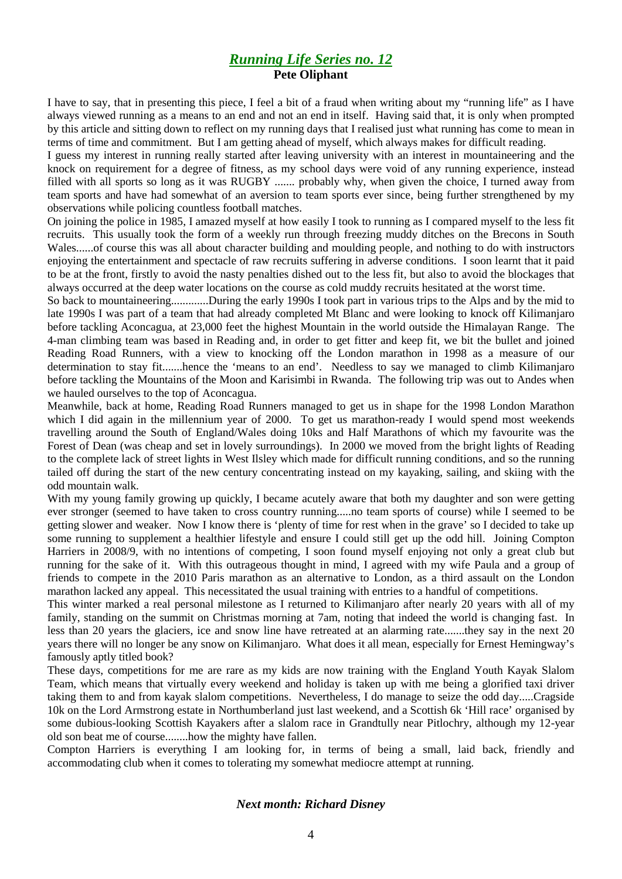## *Running Life Series no. 12* **Pete Oliphant**

I have to say, that in presenting this piece, I feel a bit of a fraud when writing about my "running life" as I have always viewed running as a means to an end and not an end in itself. Having said that, it is only when prompted by this article and sitting down to reflect on my running days that I realised just what running has come to mean in terms of time and commitment. But I am getting ahead of myself, which always makes for difficult reading.

I guess my interest in running really started after leaving university with an interest in mountaineering and the knock on requirement for a degree of fitness, as my school days were void of any running experience, instead filled with all sports so long as it was RUGBY ....... probably why, when given the choice, I turned away from team sports and have had somewhat of an aversion to team sports ever since, being further strengthened by my observations while policing countless football matches.

On joining the police in 1985, I amazed myself at how easily I took to running as I compared myself to the less fit recruits. This usually took the form of a weekly run through freezing muddy ditches on the Brecons in South Wales......of course this was all about character building and moulding people, and nothing to do with instructors enjoying the entertainment and spectacle of raw recruits suffering in adverse conditions. I soon learnt that it paid to be at the front, firstly to avoid the nasty penalties dished out to the less fit, but also to avoid the blockages that always occurred at the deep water locations on the course as cold muddy recruits hesitated at the worst time.

So back to mountaineering.............During the early 1990s I took part in various trips to the Alps and by the mid to late 1990s I was part of a team that had already completed Mt Blanc and were looking to knock off Kilimanjaro before tackling Aconcagua, at 23,000 feet the highest Mountain in the world outside the Himalayan Range. The 4-man climbing team was based in Reading and, in order to get fitter and keep fit, we bit the bullet and joined Reading Road Runners, with a view to knocking off the London marathon in 1998 as a measure of our determination to stay fit.......hence the 'means to an end'. Needless to say we managed to climb Kilimanjaro before tackling the Mountains of the Moon and Karisimbi in Rwanda. The following trip was out to Andes when we hauled ourselves to the top of Aconcagua.

Meanwhile, back at home, Reading Road Runners managed to get us in shape for the 1998 London Marathon which I did again in the millennium year of 2000. To get us marathon-ready I would spend most weekends travelling around the South of England/Wales doing 10ks and Half Marathons of which my favourite was the Forest of Dean (was cheap and set in lovely surroundings). In 2000 we moved from the bright lights of Reading to the complete lack of street lights in West Ilsley which made for difficult running conditions, and so the running tailed off during the start of the new century concentrating instead on my kayaking, sailing, and skiing with the odd mountain walk.

With my young family growing up quickly, I became acutely aware that both my daughter and son were getting ever stronger (seemed to have taken to cross country running.....no team sports of course) while I seemed to be getting slower and weaker. Now I know there is 'plenty of time for rest when in the grave' so I decided to take up some running to supplement a healthier lifestyle and ensure I could still get up the odd hill. Joining Compton Harriers in 2008/9, with no intentions of competing, I soon found myself enjoying not only a great club but running for the sake of it. With this outrageous thought in mind, I agreed with my wife Paula and a group of friends to compete in the 2010 Paris marathon as an alternative to London, as a third assault on the London marathon lacked any appeal. This necessitated the usual training with entries to a handful of competitions.

This winter marked a real personal milestone as I returned to Kilimanjaro after nearly 20 years with all of my family, standing on the summit on Christmas morning at 7am, noting that indeed the world is changing fast. In less than 20 years the glaciers, ice and snow line have retreated at an alarming rate.......they say in the next 20 years there will no longer be any snow on Kilimanjaro. What does it all mean, especially for Ernest Hemingway's famously aptly titled book?

These days, competitions for me are rare as my kids are now training with the England Youth Kayak Slalom Team, which means that virtually every weekend and holiday is taken up with me being a glorified taxi driver taking them to and from kayak slalom competitions. Nevertheless, I do manage to seize the odd day.....Cragside 10k on the Lord Armstrong estate in Northumberland just last weekend, and a Scottish 6k 'Hill race' organised by some dubious-looking Scottish Kayakers after a slalom race in Grandtully near Pitlochry, although my 12-year old son beat me of course........how the mighty have fallen.

Compton Harriers is everything I am looking for, in terms of being a small, laid back, friendly and accommodating club when it comes to tolerating my somewhat mediocre attempt at running.

#### *Next month: Richard Disney*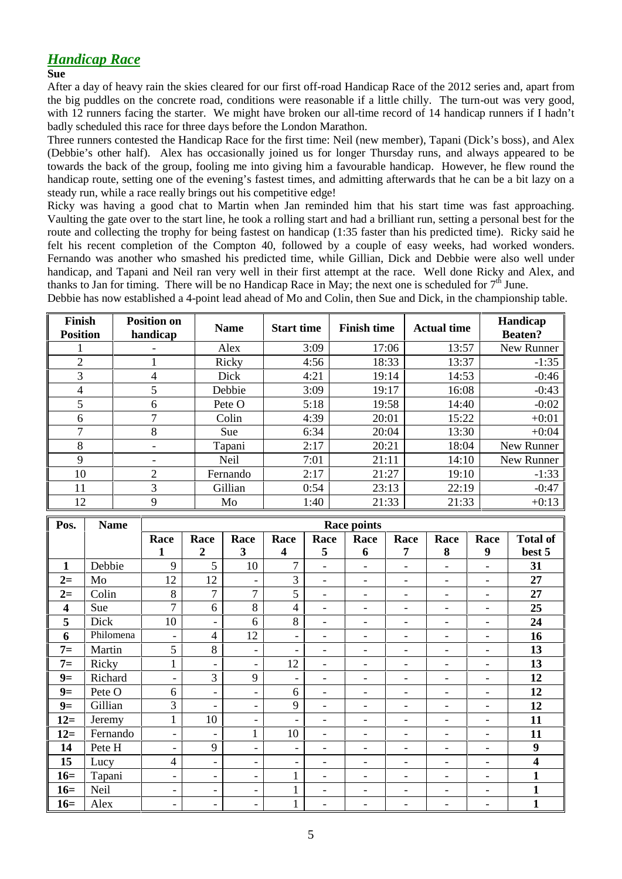## *Handicap Race*

#### **Sue**

After a day of heavy rain the skies cleared for our first off-road Handicap Race of the 2012 series and, apart from the big puddles on the concrete road, conditions were reasonable if a little chilly. The turn-out was very good, with 12 runners facing the starter. We might have broken our all-time record of 14 handicap runners if I hadn't badly scheduled this race for three days before the London Marathon.

Three runners contested the Handicap Race for the first time: Neil (new member), Tapani (Dick's boss), and Alex (Debbie's other half). Alex has occasionally joined us for longer Thursday runs, and always appeared to be towards the back of the group, fooling me into giving him a favourable handicap. However, he flew round the handicap route, setting one of the evening's fastest times, and admitting afterwards that he can be a bit lazy on a steady run, while a race really brings out his competitive edge!

Ricky was having a good chat to Martin when Jan reminded him that his start time was fast approaching. Vaulting the gate over to the start line, he took a rolling start and had a brilliant run, setting a personal best for the route and collecting the trophy for being fastest on handicap (1:35 faster than his predicted time). Ricky said he felt his recent completion of the Compton 40, followed by a couple of easy weeks, had worked wonders. Fernando was another who smashed his predicted time, while Gillian, Dick and Debbie were also well under handicap, and Tapani and Neil ran very well in their first attempt at the race. Well done Ricky and Alex, and thanks to Jan for timing. There will be no Handicap Race in May; the next one is scheduled for  $7<sup>th</sup>$  June. Debbie has now established a 4-point lead ahead of Mo and Colin, then Sue and Dick, in the championship table.

| <b>Finish</b><br><b>Position</b> | <b>Position on</b><br>handicap | <b>Name</b> | <b>Start time</b> | <b>Finish time</b> | <b>Actual time</b> | Handicap<br><b>Beaten?</b> |  |
|----------------------------------|--------------------------------|-------------|-------------------|--------------------|--------------------|----------------------------|--|
|                                  |                                | Alex        | 3:09              | 17:06              | 13:57              | New Runner                 |  |
| 2                                |                                | Ricky       | 4:56              | 18:33              | 13:37              | $-1:35$                    |  |
| 3                                | 4                              | Dick        | 4:21              | 19:14              | 14:53              | $-0:46$                    |  |
| 4                                | 5                              | Debbie      | 3:09              | 19:17              | 16:08              | $-0:43$                    |  |
| 5                                | 6                              | Pete O      | 5:18              | 19:58              | 14:40              | $-0:02$                    |  |
| 6                                | 7                              | Colin       | 4:39              | 20:01              | 15:22              | $+0:01$                    |  |
| 7                                | 8                              | Sue         | 6:34              | 20:04              | 13:30              | $+0:04$                    |  |
| 8                                | $\overline{\phantom{0}}$       | Tapani      | 2:17              | 20:21              | 18:04              | New Runner                 |  |
| 9                                |                                | <b>Neil</b> | 7:01              | 21:11              | 14:10              | New Runner                 |  |
| 10                               | 2                              | Fernando    | 2:17              | 21:27              | 19:10              | $-1:33$                    |  |
| 11                               | 3                              | Gillian     | 0:54              | 23:13              | 22:19              | $-0:47$                    |  |
| 12                               | 9                              | Mo          | 1:40              | 21:33              | 21:33              | $+0:13$                    |  |

| Pos.                    | <b>Name</b> | <b>Race points</b>       |                          |                          |                          |                              |                          |                              |                          |                              |                 |
|-------------------------|-------------|--------------------------|--------------------------|--------------------------|--------------------------|------------------------------|--------------------------|------------------------------|--------------------------|------------------------------|-----------------|
|                         |             | Race                     | Race                     | Race                     | Race                     | Race                         | Race                     | Race                         | Race                     | Race                         | <b>Total of</b> |
|                         |             | 1                        | $\boldsymbol{2}$         | $\mathbf{3}$             | $\overline{\mathbf{4}}$  | 5                            | 6                        | 7                            | 8                        | 9                            | best 5          |
| $\mathbf{1}$            | Debbie      | 9                        | 5                        | 10                       | $\tau$                   | $\qquad \qquad \blacksquare$ | $\blacksquare$           | $\qquad \qquad \blacksquare$ | $\overline{\phantom{0}}$ | -                            | 31              |
| $2=$                    | Mo          | 12                       | 12                       | $\overline{\phantom{a}}$ | 3                        | ۳                            | $\overline{\phantom{a}}$ | -                            | $\overline{\phantom{a}}$ | -                            | 27              |
| $2=$                    | Colin       | 8                        | 7                        | 7                        | 5                        | $\qquad \qquad \blacksquare$ | $\overline{\phantom{a}}$ | $\qquad \qquad \blacksquare$ | $\overline{\phantom{a}}$ | -                            | 27              |
| $\overline{\mathbf{4}}$ | Sue         | $\overline{7}$           | 6                        | 8                        | $\overline{\mathcal{A}}$ | $\qquad \qquad \blacksquare$ | $\overline{\phantom{a}}$ | -                            | $\overline{\phantom{a}}$ | -                            | 25              |
| 5                       | Dick        | 10                       | $\overline{\phantom{0}}$ | 6                        | 8                        | -                            | $\overline{\phantom{a}}$ | -                            | $\overline{\phantom{a}}$ | $\overline{\phantom{0}}$     | 24              |
| 6                       | Philomena   | $\overline{\phantom{a}}$ | $\overline{4}$           | 12                       | $\overline{\phantom{a}}$ | $\blacksquare$               | $\overline{\phantom{a}}$ | -                            | $\overline{\phantom{a}}$ | $\overline{\phantom{a}}$     | 16              |
| $7=$                    | Martin      | 5                        | 8                        | $\overline{\phantom{a}}$ | -                        | $\qquad \qquad \blacksquare$ | $\overline{\phantom{a}}$ | $\qquad \qquad \blacksquare$ | $\overline{\phantom{0}}$ | $\qquad \qquad \blacksquare$ | 13              |
| $7=$                    | Ricky       | $\mathbf{1}$             | $\overline{\phantom{a}}$ | $\overline{\phantom{a}}$ | 12                       | $\qquad \qquad \blacksquare$ | $\overline{\phantom{a}}$ | $\overline{\phantom{0}}$     | $\overline{\phantom{0}}$ | $\overline{\phantom{0}}$     | 13              |
| $9=$                    | Richard     | $\overline{\phantom{a}}$ | 3                        | 9                        | $\overline{\phantom{a}}$ | $\qquad \qquad \blacksquare$ | $\overline{\phantom{a}}$ | -                            | $\overline{\phantom{a}}$ | -                            | 12              |
| $9=$                    | Pete O      | 6                        | $\overline{\phantom{0}}$ | $\overline{\phantom{a}}$ | 6                        | $\qquad \qquad \blacksquare$ | $\overline{\phantom{a}}$ | $\overline{\phantom{0}}$     | $\overline{\phantom{a}}$ | $\overline{\phantom{a}}$     | 12              |
| $9=$                    | Gillian     | 3                        | -                        | $\overline{\phantom{a}}$ | 9                        | $\qquad \qquad \blacksquare$ | $\overline{\phantom{a}}$ | $\qquad \qquad \blacksquare$ | $\overline{\phantom{a}}$ | $\overline{\phantom{0}}$     | 12              |
| $12=$                   | Jeremy      | 1                        | 10                       | $\overline{\phantom{a}}$ | -                        | $\qquad \qquad \blacksquare$ | $\overline{\phantom{a}}$ | Ξ.                           | $\overline{\phantom{a}}$ | $\overline{\phantom{0}}$     | 11              |
| $12=$                   | Fernando    | $\overline{\phantom{a}}$ | -                        | $\mathbf{1}$             | 10                       | -                            | $\overline{\phantom{a}}$ | Ξ.                           | $\overline{\phantom{0}}$ | $\overline{\phantom{0}}$     | 11              |
| 14                      | Pete H      | $\blacksquare$           | 9                        | $\overline{\phantom{a}}$ | Ξ.                       | $\qquad \qquad \blacksquare$ | $\overline{\phantom{a}}$ | -                            | $\overline{\phantom{a}}$ | -                            | 9               |
| 15                      | Lucy        | $\overline{4}$           | $\overline{\phantom{0}}$ | $\overline{\phantom{a}}$ | -                        | $\blacksquare$               | $\overline{\phantom{a}}$ | $\qquad \qquad \blacksquare$ | $\overline{\phantom{a}}$ | $\overline{\phantom{0}}$     | 4               |
| $16=$                   | Tapani      | $\overline{\phantom{a}}$ | $\overline{\phantom{0}}$ | $\overline{\phantom{a}}$ | $\mathbf{1}$             | $\qquad \qquad \blacksquare$ | $\overline{\phantom{a}}$ | $\qquad \qquad \blacksquare$ | $\overline{\phantom{0}}$ | $\overline{\phantom{0}}$     | $\mathbf{1}$    |
| $16=$                   | Neil        | $\overline{\phantom{a}}$ | $\overline{\phantom{a}}$ | $\overline{\phantom{a}}$ | $\mathbf{1}$             | $\overline{\phantom{0}}$     | $\overline{\phantom{a}}$ | $\qquad \qquad \blacksquare$ | ۰                        | $\overline{\phantom{0}}$     | $\mathbf{1}$    |
| $16=$                   | Alex        | $\overline{\phantom{a}}$ | $\overline{\phantom{0}}$ | $\overline{\phantom{a}}$ | $\mathbf{1}$             | $\qquad \qquad \blacksquare$ | $\overline{\phantom{a}}$ | -                            | $\overline{\phantom{a}}$ | -                            | 1               |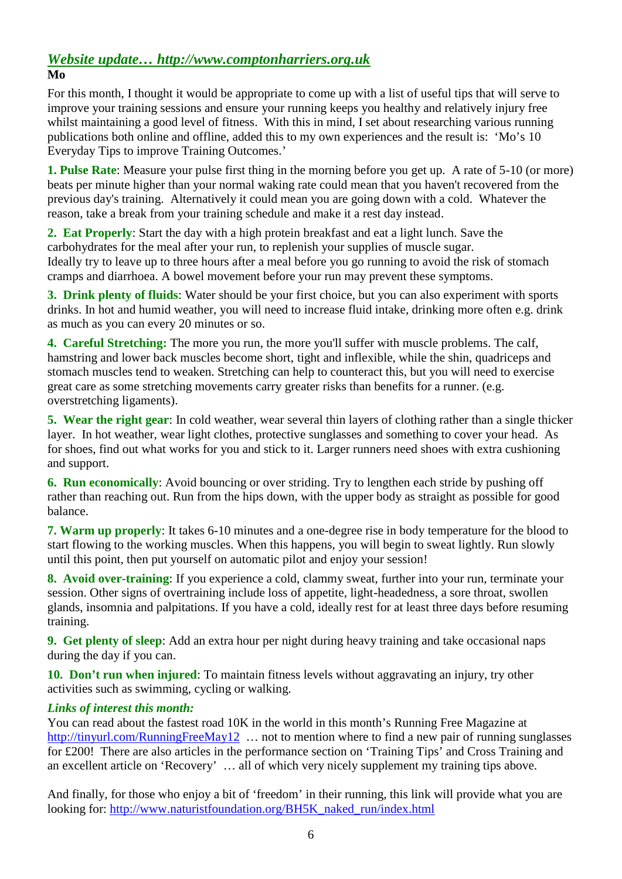# *Website update… http://www.comptonharriers.org.uk*

## **Mo**

For this month, I thought it would be appropriate to come up with a list of useful tips that will serve to improve your training sessions and ensure your running keeps you healthy and relatively injury free whilst maintaining a good level of fitness. With this in mind, I set about researching various running publications both online and offline, added this to my own experiences and the result is: 'Mo's 10 Everyday Tips to improve Training Outcomes.'

**1. Pulse Rate**: Measure your pulse first thing in the morning before you get up. A rate of 5-10 (or more) beats per minute higher than your normal waking rate could mean that you haven't recovered from the previous day's training. Alternatively it could mean you are going down with a cold. Whatever the reason, take a break from your training schedule and make it a rest day instead.

**2. Eat Properly**: Start the day with a high protein breakfast and eat a light lunch. Save the carbohydrates for the meal after your run, to replenish your supplies of muscle sugar. Ideally try to leave up to three hours after a meal before you go running to avoid the risk of stomach cramps and diarrhoea. A bowel movement before your run may prevent these symptoms.

**3. Drink plenty of fluids**: Water should be your first choice, but you can also experiment with sports drinks. In hot and humid weather, you will need to increase fluid intake, drinking more often e.g. drink as much as you can every 20 minutes or so.

**4. Careful Stretching:** The more you run, the more you'll suffer with muscle problems. The calf, hamstring and lower back muscles become short, tight and inflexible, while the shin, quadriceps and stomach muscles tend to weaken. Stretching can help to counteract this, but you will need to exercise great care as some stretching movements carry greater risks than benefits for a runner. (e.g. overstretching ligaments).

**5. Wear the right gear**: In cold weather, wear several thin layers of clothing rather than a single thicker layer. In hot weather, wear light clothes, protective sunglasses and something to cover your head. As for shoes, find out what works for you and stick to it. Larger runners need shoes with extra cushioning and support.

**6. Run economically**: Avoid bouncing or over striding. Try to lengthen each stride by pushing off rather than reaching out. Run from the hips down, with the upper body as straight as possible for good balance.

**7. Warm up properly**: It takes 6-10 minutes and a one-degree rise in body temperature for the blood to start flowing to the working muscles. When this happens, you will begin to sweat lightly. Run slowly until this point, then put yourself on automatic pilot and enjoy your session!

**8. Avoid over-training**: If you experience a cold, clammy sweat, further into your run, terminate your session. Other signs of overtraining include loss of appetite, light-headedness, a sore throat, swollen glands, insomnia and palpitations. If you have a cold, ideally rest for at least three days before resuming training.

**9. Get plenty of sleep**: Add an extra hour per night during heavy training and take occasional naps during the day if you can.

**10. Don't run when injured:** To maintain fitness levels without aggravating an injury, try other activities such as swimming, cycling or walking.

## *Links of interest this month:*

You can read about the fastest road 10K in the world in this month's Running Free Magazine at http://tinyurl.com/RunningFreeMay12 … not to mention where to find a new pair of running sunglasses for £200! There are also articles in the performance section on 'Training Tips' and Cross Training and an excellent article on 'Recovery' … all of which very nicely supplement my training tips above.

And finally, for those who enjoy a bit of 'freedom' in their running, this link will provide what you are looking for: http://www.naturistfoundation.org/BH5K\_naked\_run/index.html